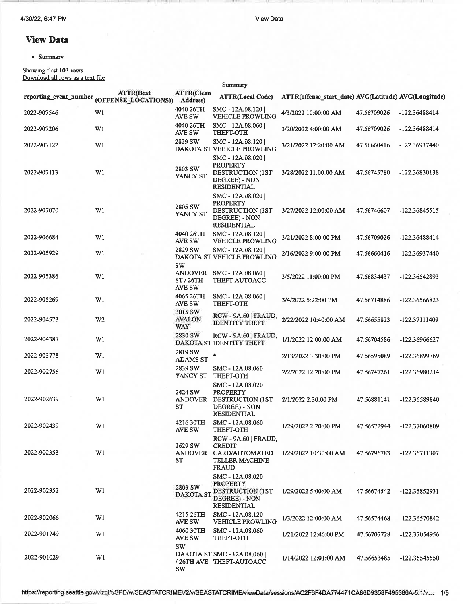View Data

Summary

## View Data

<sup>a</sup> Summary

Showing first 103 rows. Download all rows as a text file

|             | <b>ATTR(Beat</b><br>reporting_event_number (OFFENSE_LOCATIONS)) | <b>ATTR(Clean</b><br>Address)                    | <b>ATTR(Local Code)</b>                                                                                 | ATTR(offense start date) AVG(Latitude) AVG(Longitude) |             |               |
|-------------|-----------------------------------------------------------------|--------------------------------------------------|---------------------------------------------------------------------------------------------------------|-------------------------------------------------------|-------------|---------------|
| 2022-907546 | W1                                                              | 4040 26TH<br>AVE SW                              | SMC - 12A.08.120<br><b>VEHICLE PROWLING</b>                                                             | 4/3/2022 10:00:00 AM                                  | 47.56709026 | -122.36488414 |
| 2022-907206 | W1                                                              | 4040 26TH<br>AVE SW                              | SMC - 12A.08.060  <br><b>THEFT-OTH</b>                                                                  | 3/20/2022 4:00:00 AM                                  | 47.56709026 | -122.36488414 |
| 2022-907122 | W1                                                              | 2829 SW                                          | SMC - 12A.08.120<br>DAKOTA ST VEHICLE PROWLING                                                          | 3/21/2022 12:20:00 AM                                 | 47.56660416 | -122.36937440 |
| 2022-907113 | W1                                                              | 2803 SW<br>YANCY ST                              | SMC - 12A.08.020  <br><b>PROPERTY</b><br><b>DESTRUCTION (1ST</b><br>DEGREE) - NON<br><b>RESIDENTIAL</b> | 3/28/2022 11:00:00 AM                                 | 47.56745780 | -122.36830138 |
| 2022-907070 | W1                                                              | 2805 SW<br>YANCY ST                              | SMC - 12A.08.020<br><b>PROPERTY</b><br>DESTRUCTION (1ST<br>DEGREE) - NON<br><b>RESIDENTIAL</b>          | 3/27/2022 12:00:00 AM                                 | 47.56746607 | -122.36845515 |
| 2022-906684 | W1                                                              | 4040 26TH<br>AVE SW                              | SMC - 12A.08.120<br><b>VEHICLE PROWLING</b>                                                             | 3/21/2022 8:00:00 PM                                  | 47.56709026 | -122.36488414 |
| 2022-905929 | W1                                                              | 2829 SW                                          | SMC - 12A.08.120<br>DAKOTA ST VEHICLE PROWLING                                                          | 2/16/2022 9:00:00 PM                                  | 47.56660416 | -122.36937440 |
| 2022-905386 | W1                                                              | SW<br><b>ANDOVER</b><br>ST/26TH<br><b>AVE SW</b> | SMC - 12A.08.060<br>THEFT-AUTOACC                                                                       | 3/5/2022 11:00:00 PM                                  | 47.56834437 | -122.36542893 |
| 2022-905269 | W1                                                              | 4065 26TH<br>AVE SW                              | SMC - 12A.08.060<br><b>THEFT-OTH</b>                                                                    | 3/4/2022 5:22:00 PM                                   | 47.56714886 | -122.36566823 |
| 2022-904573 | W <sub>2</sub>                                                  | 3015 SW<br><b>AVALON</b><br>WAY                  | RCW - 9A.60   FRAUD,<br><b>IDENTITY THEFT</b>                                                           | 2/22/2022 10:40:00 AM                                 | 47.56655823 | -122.37111409 |
| 2022-904387 | W1                                                              | 2830 SW                                          | RCW - 9A.60   FRAUD,<br>DAKOTA ST IDENTITY THEFT                                                        | 1/1/2022 12:00:00 AM                                  | 47.56704586 | -122.36966627 |
| 2022-903778 | W1                                                              | 2819 SW<br><b>ADAMS ST</b>                       | $\ast$                                                                                                  | 2/13/2022 3:30:00 PM                                  | 47.56595089 | -122.36899769 |
| 2022-902756 | W1                                                              | 2839 SW<br>YANCY ST                              | SMC - 12A.08.060<br><b>THEFT-OTH</b>                                                                    | 2/2/2022 12:20:00 PM                                  | 47.56747261 | -122.36980214 |
| 2022-902639 | W1                                                              | 2424 SW<br><b>ANDOVER</b><br>ST                  | SMC - 12A.08.020<br><b>PROPERTY</b><br><b>DESTRUCTION (1ST</b><br>DEGREE) - NON<br><b>RESIDENTIAL</b>   | 2/1/2022 2:30:00 PM                                   | 47.56881141 | -122.36589840 |
| 2022-902439 | W1                                                              | 4216 30TH<br>AVE SW                              | SMC - 12A.08.060  <br>THEFT-OTH                                                                         | 1/29/2022 2:20:00 PM                                  | 47.56572944 | -122.37060809 |
| 2022-902353 | W1                                                              | 2629 SW<br><b>ANDOVER</b><br>ST                  | RCW - 9A.60   FRAUD,<br><b>CREDIT</b><br>CARD/AUTOMATED<br><b>TELLER MACHINE</b><br><b>FRAUD</b>        | 1/29/2022 10:30:00 AM                                 | 47.56796783 | -122.36711307 |
| 2022-902352 | W1                                                              | 2803 SW<br><b>DAKOTA ST</b>                      | SMC - 12A.08.020<br><b>PROPERTY</b><br>DESTRUCTION (1ST<br>DEGREE) - NON<br><b>RESIDENTIAL</b>          | 1/29/2022 5:00:00 AM                                  | 47.56674542 | -122.36852931 |
| 2022-902066 | W1                                                              | 4215 26TH<br>AVE SW                              | SMC - 12A.08.120<br><b>VEHICLE PROWLING</b>                                                             | 1/3/2022 12:00:00 AM                                  | 47.56574468 | -122.36570842 |
| 2022-901749 | W1                                                              | <b>4060 30TH</b><br>AVE SW                       | SMC - 12A.08.060<br><b>THEFT-OTH</b>                                                                    | 1/21/2022 12:46:00 PM                                 | 47.56707728 | -122.37054956 |
| 2022-901029 | W1                                                              | <b>SW</b><br>SW                                  | DAKOTA ST SMC - 12A.08.060  <br>/26TH AVE THEFT-AUTOACC                                                 | 1/14/2022 12:01:00 AM                                 | 47.56653485 | -122.36545550 |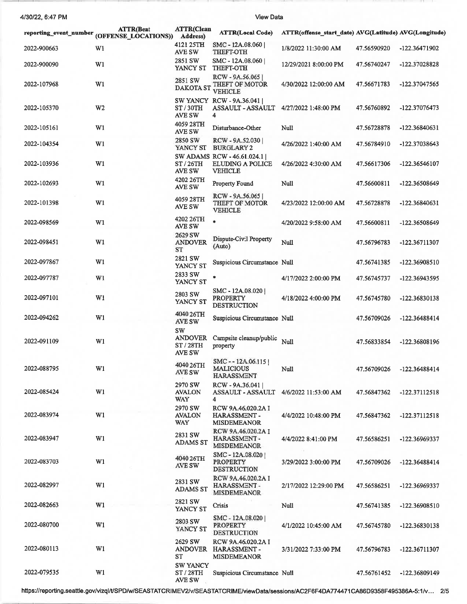4/30/22, 6:47 PM

View Data

 $2.81$ 

-m

| reporting event number | <b>ATTR(Beat</b><br>(OFFENSE LOCATIONS)) | ATTR(Clean<br>Address)                             | <b>ATTR(Local Code)</b>                                                 | ATTR(offense_start_date) AVG(Latitude) AVG(Longitude) |             |               |
|------------------------|------------------------------------------|----------------------------------------------------|-------------------------------------------------------------------------|-------------------------------------------------------|-------------|---------------|
| 2022-900663            | W <sub>1</sub>                           | 4121 25TH<br>AVE SW                                | SMC - 12A.08.060<br>THEFT-OTH                                           | 1/8/2022 11:30:00 AM                                  | 47.56590920 | -122.36471902 |
| 2022-900090            | W <sub>1</sub>                           | 2851 SW<br>YANCY ST                                | SMC - 12A.08.060<br><b>THEFT-OTH</b>                                    | 12/29/2021 8:00:00 PM                                 | 47.56740247 | -122.37028828 |
| 2022-107968            | W1                                       | 2851 SW                                            | RCW - 9A.56.065<br>DAKOTA ST THEFT OF MOTOR<br><b>VEHICLE</b>           | 4/30/2022 12:00:00 AM                                 | 47.56671783 | -122.37047565 |
| 2022-105370            | W <sub>2</sub>                           | ST/30TH<br>AVE SW                                  | SW YANCY RCW - 9A.36.041<br>ASSAULT - ASSAULT<br>4                      | 4/27/2022 1:48:00 PM                                  | 47.56760892 | -122.37076473 |
| 2022-105161            | W1                                       | 4059 28TH<br>AVE SW                                | Disturbance-Other                                                       | Null                                                  | 47.56728878 | -122.36840631 |
| 2022-104354            | W1                                       | 2850 SW                                            | RCW - 9A.52.030<br>YANCY ST BURGLARY 2                                  | 4/26/2022 1:40:00 AM                                  | 47.56784910 | -122.37038643 |
| 2022-103936            | W1                                       | ST / 26TH<br>AVE SW                                | SW ADAMS RCW - 46.61.024.1<br><b>ELUDING A POLICE</b><br><b>VEHICLE</b> | 4/26/2022 4:30:00 AM                                  | 47.56617306 | -122.36546107 |
| 2022-102693            | W1                                       | 4202 26TH<br>AVE SW                                | Property Found                                                          | <b>Null</b>                                           | 47.56600811 | -122.36508649 |
| 2022-101398            | W1                                       | 4059 28TH<br>AVE SW                                | RCW - 9A.56.065<br>THEFT OF MOTOR<br><b>VEHICLE</b>                     | 4/23/2022 12:00:00 AM                                 | 47.56728878 | -122.36840631 |
| 2022-098569            | W1                                       | 4202 26TH<br>AVE SW                                | $\ast$                                                                  | 4/20/2022 9:58:00 AM                                  | 47.56600811 | -122.36508649 |
| 2022-098451            | W1                                       | 2629 SW<br><b>ANDOVER</b><br>ST                    | Dispute-Civil Property<br>(Auto)                                        | Null                                                  | 47.56796783 | -122.36711307 |
| 2022-097867            | W1                                       | 2821 SW<br>YANCY ST                                | Suspicious Circumstance Null                                            |                                                       | 47.56741385 | -122.36908510 |
| 2022-097787            | W1                                       | 2833 SW<br>YANCY ST                                | *                                                                       | 4/17/2022 2:00:00 PM                                  | 47.56745737 | -122.36943595 |
| 2022-097101            | W1                                       | 2803 SW<br>YANCY ST                                | SMC - 12A.08.020<br><b>PROPERTY</b><br><b>DESTRUCTION</b>               | 4/18/2022 4:00:00 PM                                  | 47.56745780 | -122.36830138 |
| 2022-094262            | W1                                       | 4040 26TH<br>AVE SW                                | Suspicious Circumstance Null                                            |                                                       | 47.56709026 | -122.36488414 |
| 2022-091109            | W1                                       | <b>SW</b><br><b>ANDOVER</b><br>ST / 28TH<br>AVE SW | Campsite cleanup/public<br>property                                     | Null                                                  | 47.56833854 | -122.36808196 |
| 2022-088795            | W1                                       | 4040 26TH<br>AVE SW                                | SMC--12A.06.115<br><b>MALICIOUS</b><br>HARASSMENT                       | Null                                                  | 47.56709026 | -122.36488414 |
| 2022-085424            | W1                                       | 2970 SW<br><b>AVALON</b><br>WAY                    | RCW - 9A.36.041<br>ASSAULT - ASSAULT 4/6/2022 11:53:00 AM<br>4          |                                                       | 47.56847362 | -122.37112518 |
| 2022-083974            | W1                                       | 2970 SW<br><b>AVALON</b><br><b>WAY</b>             | RCW 9A.46.020.2A I<br>HARASSMENT-<br><b>MISDEMEANOR</b>                 | 4/4/2022 10:48:00 PM                                  | 47.56847362 | -122.37112518 |
| 2022-083947            | W1                                       | 2831 SW<br><b>ADAMS ST</b>                         | RCW 9A.46.020.2A I<br>HARASSMENT-<br><b>MISDEMEANOR</b>                 | 4/4/2022 8:41:00 PM                                   | 47.56586251 | -122.36969337 |
| 2022-083703            | W1                                       | 4040 26TH<br>AVE SW                                | SMC-12A.08.020<br><b>PROPERTY</b><br><b>DESTRUCTION</b>                 | 3/29/2022 3:00:00 PM                                  | 47.56709026 | -122.36488414 |
| 2022-082997            | W1                                       | 2831 SW<br><b>ADAMS ST</b>                         | RCW 9A.46.020.2A I<br>HARASSMENT-<br><b>MISDEMEANOR</b>                 | 2/17/2022 12:29:00 PM                                 | 47.56586251 | -122.36969337 |
| 2022-082663            | W1                                       | 2821 SW<br>YANCY ST                                | Crisis                                                                  | Null                                                  | 47.56741385 | -122.36908510 |
| 2022-080700            | W1                                       | 2803 SW<br>YANCY ST                                | SMC - 12A.08.020<br><b>PROPERTY</b><br><b>DESTRUCTION</b>               | 4/1/2022 10:45:00 AM                                  | 47.56745780 | -122.36830138 |
| 2022-080113            | W1                                       | 2629 SW<br>ANDOVER<br>ST                           | RCW 9A.46,020.2A I<br>HARASSMENT-<br><b>MISDEMEANOR</b>                 | 3/31/2022 7:33:00 PM                                  | 47.56796783 | -122.36711307 |
| 2022-079535            | W1                                       | <b>SW YANCY</b><br>ST / 28TH<br>AVE SW             | Suspicious Circumstance Null                                            |                                                       | 47.56761452 | -122.36809149 |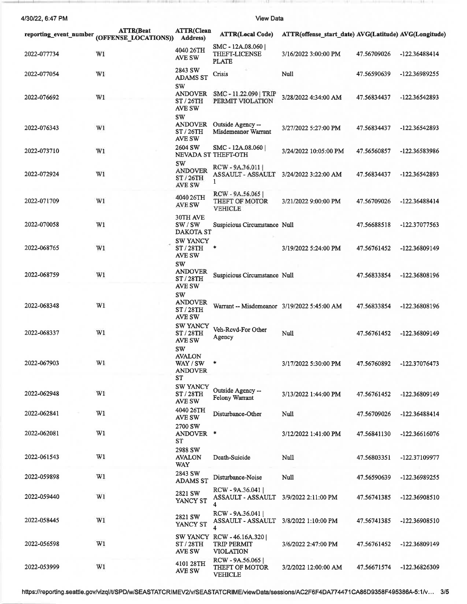4/30/22, 6:47 PM

View Data

|             | <b>ATTR(Beat</b><br>reporting_event_number (OFFENSE_LOCATIONS)) | <b>ATTR(Clean</b><br><b>Address</b> )                   | <b>ATTR(Local Code)</b>                                             | ATTR(offense start date) AVG(Latitude) AVG(Longitude) |             |               |
|-------------|-----------------------------------------------------------------|---------------------------------------------------------|---------------------------------------------------------------------|-------------------------------------------------------|-------------|---------------|
| 2022-077734 | W1                                                              | 4040 26TH<br>AVE SW                                     | SMC - 12A.08.060  <br>THEFT-LICENSE<br><b>PLATE</b>                 | 3/16/2022 3:00:00 PM                                  | 47.56709026 | -122.36488414 |
| 2022-077054 | W1                                                              | 2843 SW<br><b>ADAMS ST</b><br>SW                        | Crisis                                                              | Null                                                  | 47.56590639 | -122.36989255 |
| 2022-076692 | W1                                                              | <b>ANDOVER</b><br>ST / 26TH<br>AVE SW<br><b>SW</b>      | SMC - 11.22.090   TRIP<br>PERMIT VIOLATION                          | 3/28/2022 4:34:00 AM                                  | 47.56834437 | -122.36542893 |
| 2022-076343 | W1                                                              | <b>ANDOVER</b><br>ST/26TH<br>AVE SW                     | Outside Agency --<br>Misdemeanor Warrant                            | 3/27/2022 5:27:00 PM                                  | 47.56834437 | -122.36542893 |
| 2022-073710 | W1                                                              | 2604 SW                                                 | SMC - 12A.08.060<br>NEVADA ST THEFT-OTH                             | 3/24/2022 10:05:00 PM                                 | 47.56560857 | -122.36583986 |
| 2022-072924 | W1                                                              | sw<br><b>ANDOVER</b><br>ST / 26TH<br>AVE SW             | $RCW - 9A.36.011$<br>ASSAULT - ASSAULT<br>1                         | 3/24/2022 3:22:00 AM                                  | 47.56834437 | -122.36542893 |
| 2022-071709 | W1                                                              | 4040 26TH<br>AVE SW                                     | RCW - 9A.56.065<br>THEFT OF MOTOR<br><b>VEHICLE</b>                 | 3/21/2022 9:00:00 PM                                  | 47.56709026 | -122.36488414 |
| 2022-070058 | W1                                                              | <b>30TH AVE</b><br>SW/SW<br>DAKOTA ST                   | Suspicious Circumstance Null                                        |                                                       | 47.56688518 | -122.37077563 |
| 2022-068765 | W1                                                              | <b>SW YANCY</b><br>ST / 28TH<br>AVE SW<br><b>SW</b>     | ٠                                                                   | 3/19/2022 5:24:00 PM                                  | 47.56761452 | -122.36809149 |
| 2022-068759 | W1                                                              | <b>ANDOVER</b><br>ST/28TH<br>AVE SW                     | Suspicious Circumstance Null                                        |                                                       | 47.56833854 | -122.36808196 |
| 2022-068348 | W1                                                              | <b>SW</b><br><b>ANDOVER</b><br>ST/28TH<br>AVE SW        | Warrant -- Misdemeanor 3/19/2022 5:45:00 AM                         |                                                       | 47.56833854 | -122.36808196 |
| 2022-068337 | W1                                                              | <b>SW YANCY</b><br>ST/28TH<br>AVE SW                    | Veh-Rcvd-For Other<br>Agency                                        | Null                                                  | 47.56761452 | -122.36809149 |
| 2022-067903 | W1                                                              | sw<br><b>AVALON</b><br>WAY / SW<br><b>ANDOVER</b><br>ST | $\ast$                                                              | 3/17/2022 5:30:00 PM                                  | 47.56760892 | -122.37076473 |
| 2022-062948 | W1                                                              | <b>SW YANCY</b><br><b>ST/28TH</b><br>AVE SW             | Outside Agency --<br>Felony Warrant                                 | 3/13/2022 1:44:00 PM                                  | 47.56761452 | -122.36809149 |
| 2022-062841 | W1                                                              | 4040 26TH<br><b>AVE SW</b><br>2700 SW                   | Disturbance-Other                                                   | Null                                                  | 47.56709026 | -122.36488414 |
| 2022-062081 | W1                                                              | ANDOVER *<br>ST<br>2988 SW                              |                                                                     | 3/12/2022 1:41:00 PM                                  | 47.56841130 | -122.36616076 |
| 2022-061543 | W1                                                              | <b>AVALON</b><br>WAY                                    | Death-Suicide                                                       | Null                                                  | 47.56803351 | -122.37109977 |
| 2022-059898 | W1                                                              | 2843 SW<br><b>ADAMS ST</b>                              | Disturbance-Noise                                                   | Null                                                  | 47.56590639 | -122.36989255 |
| 2022-059440 | W1                                                              | 2821 SW<br>YANCY ST                                     | RCW - 9A.36.041<br>ASSAULT - ASSAULT<br>4                           | 3/9/2022 2:11:00 PM                                   | 47.56741385 | -122.36908510 |
| 2022-058445 | W1                                                              | 2821 SW<br>YANCY ST                                     | RCW - 9A.36.041<br>ASSAULT - ASSAULT<br>4                           | 3/8/2022 1:10:00 PM                                   | 47.56741385 | -122.36908510 |
| 2022-056598 | W1                                                              | ST / 28TH<br>AVE SW                                     | SW YANCY RCW - 46.16A.320<br><b>TRIP PERMIT</b><br><b>VIOLATION</b> | 3/6/2022 2:47:00 PM                                   | 47.56761452 | -122.36809149 |
| 2022-053999 | W1                                                              | 4101 28TH<br>AVE SW                                     | RCW - 9A.56.065<br>THEFT OF MOTOR<br><b>VEHICLE</b>                 | 3/2/2022 12:00:00 AM                                  | 47.56671574 | -122.36826309 |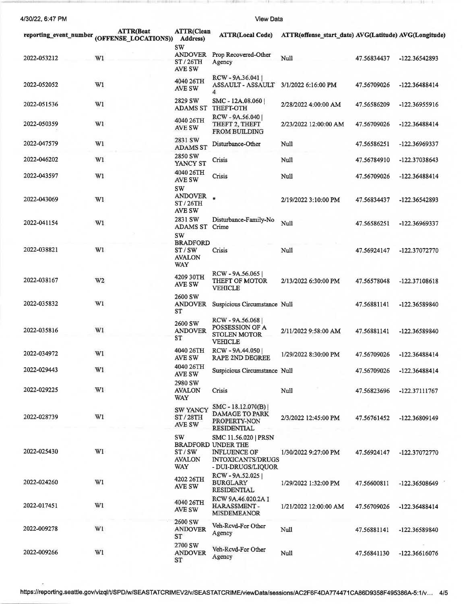4130122,6:47 PM

\_\_--\_1 , l ,

**View Data** 

| reporting event number | <b>ATTR</b> (Beat<br>(OFFENSE_LOCATIONS)) | <b>ATTR(Clean</b><br><b>Address</b> )            | <b>ATTR(Local Code)</b>                                                                                                    | ATTR(offense_start_date) AVG(Latitude) AVG(Longitude) |             |                 |
|------------------------|-------------------------------------------|--------------------------------------------------|----------------------------------------------------------------------------------------------------------------------------|-------------------------------------------------------|-------------|-----------------|
| 2022-053212            | W1                                        | sw<br><b>ANDOVER</b><br>ST/26TH<br>AVE SW        | Prop Recovered-Other<br>Agency                                                                                             | Null                                                  | 47.56834437 | -122.36542893   |
| 2022-052052            | W1                                        | 4040 26TH<br>AVE SW                              | RCW - 9A.36.041<br><b>ASSAULT - ASSAULT</b><br>4                                                                           | 3/1/2022 6:16:00 PM                                   | 47.56709026 | -122.36488414   |
| 2022-051536            | W1                                        | 2829 SW<br><b>ADAMS ST</b>                       | SMC - 12A.08.060<br><b>THEFT-OTH</b>                                                                                       | 2/28/2022 4:00:00 AM                                  | 47.56586209 | -122.36955916   |
| 2022-050359            | W1                                        | 4040 26TH<br><b>AVE SW</b>                       | RCW - 9A.56.040<br>THEFT 2, THEFT<br><b>FROM BUILDING</b>                                                                  | 2/23/2022 12:00:00 AM                                 | 47.56709026 | -122.36488414   |
| 2022-047579            | W1                                        | 2831 SW<br><b>ADAMS ST</b>                       | Disturbance-Other                                                                                                          | Null                                                  | 47.56586251 | -122.36969337   |
| 2022-046202            | W1                                        | 2850 SW<br>YANCY ST                              | Crisis                                                                                                                     | Null                                                  | 47.56784910 | -122.37038643   |
| 2022-043597            | W1                                        | 4040 26TH<br><b>AVE SW</b><br><b>SW</b>          | Crisis                                                                                                                     | Null                                                  | 47.56709026 | -122.36488414   |
| 2022-043069            | W1                                        | <b>ANDOVER</b><br>ST/26TH<br><b>AVE SW</b>       | $\ast$                                                                                                                     | 2/19/2022 3:10:00 PM                                  | 47.56834437 | -122.36542893   |
| 2022-041154            | W1                                        | 2831 SW<br><b>ADAMS ST</b><br><b>SW</b>          | Disturbance-Family-No<br>Crime                                                                                             | Null                                                  | 47.56586251 | -122.36969337   |
| 2022-038821            | W1                                        | <b>BRADFORD</b><br>ST/SW<br><b>AVALON</b><br>WAY | Crisis                                                                                                                     | Null                                                  | 47.56924147 | -122.37072770   |
| 2022-038167            | W <sub>2</sub>                            | 4209 30TH<br><b>AVE SW</b>                       | RCW - 9A.56.065<br>THEFT OF MOTOR<br><b>VEHICLE</b>                                                                        | 2/13/2022 6:30:00 PM                                  | 47.56578048 | -122.37108618   |
| 2022-035832            | W1                                        | 2600 SW<br><b>ANDOVER</b><br>ST                  | Suspicious Circumstance Null                                                                                               |                                                       | 47.56881141 | -122.36589840   |
| 2022-035816            | W1                                        | 2600 SW<br><b>ANDOVER</b><br>ST                  | RCW - 9A.56.068<br>POSSESSION OF A<br>STOLEN MOTOR<br><b>VEHICLE</b>                                                       | 2/11/2022 9:58:00 AM                                  | 47.56881141 | -122.36589840   |
| 2022-034972            | WI                                        | <b>4040 26TH</b><br>AVE SW                       | RCW - 9A.44.050<br><b>RAPE 2ND DEGREE</b>                                                                                  | 1/29/2022 8:30:00 PM                                  | 47.56709026 | -122.36488414   |
| 2022-029443            | W1                                        | 4040 26TH<br><b>AVE SW</b>                       | Suspicious Circumstance Null                                                                                               |                                                       | 47.56709026 | -122.36488414   |
| 2022-029225            | W1                                        | 2980 SW<br><b>AVALON</b><br><b>WAY</b>           | Crisis                                                                                                                     | Null                                                  | 47.56823696 | -122.37111767   |
| 2022-028739            | W1                                        | <b>SW YANCY</b><br>ST / 28TH<br>AVE SW           | $SMC - 18.12.070(B)$<br><b>DAMAGE TO PARK</b><br>PROPERTY-NON<br><b>RESIDENTIAL</b>                                        | 2/3/2022 12:45:00 PM                                  | 47.56761452 | -122.36809149   |
| 2022-025430            | W1                                        | <b>SW</b><br>ST / SW<br><b>AVALON</b><br>WAY     | SMC 11.56.020   PRSN<br><b>BRADFORD UNDER THE</b><br><b>INFLUENCE OF</b><br><b>INTOXICANTS/DRUGS</b><br>- DUI-DRUGS/LIQUOR | 1/30/2022 9:27:00 PM                                  | 47.56924147 | -122.37072770   |
| 2022-024260            | W1                                        | 4202 26TH<br>AVE SW                              | RCW-9A.52.025<br><b>BURGLARY</b><br><b>RESIDENTIAL</b>                                                                     | 1/29/2022 1:32:00 PM                                  | 47.56600811 | $-122.36508649$ |
| 2022-017451            | W1                                        | 4040 26TH<br>AVE SW                              | RCW 9A.46.020.2A I<br>HARASSMENT-<br>MISDEMEANOR                                                                           | 1/21/2022 12:00:00 AM                                 | 47.56709026 | -122.36488414   |
| 2022-009278            | W1                                        | 2600 SW<br>ANDOVER<br>ST                         | Veh-Rcvd-For Other<br>Agency                                                                                               | Null                                                  | 47.56881141 | -122.36589840   |
| 2022-009266            | W1                                        | 2700 SW<br><b>ANDOVER</b><br>ST                  | Veh-Revd-For Other<br>Agency                                                                                               | Null                                                  | 47.56841130 | -122.36616076   |